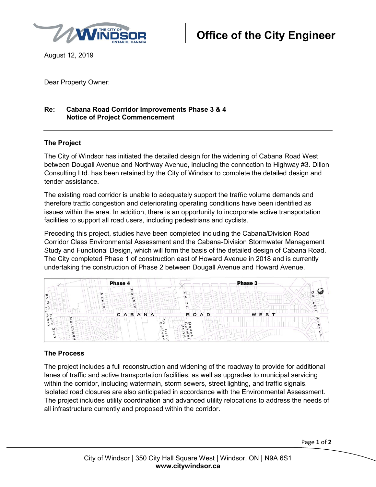

August 12, 2019

Dear Property Owner:

## **Re: Cabana Road Corridor Improvements Phase 3 & 4 Notice of Project Commencement**

### **The Project**

The City of Windsor has initiated the detailed design for the widening of Cabana Road West between Dougall Avenue and Northway Avenue, including the connection to Highway #3. Dillon Consulting Ltd. has been retained by the City of Windsor to complete the detailed design and tender assistance.

The existing road corridor is unable to adequately support the traffic volume demands and therefore traffic congestion and deteriorating operating conditions have been identified as issues within the area. In addition, there is an opportunity to incorporate active transportation facilities to support all road users, including pedestrians and cyclists.

Preceding this project, studies have been completed including the Cabana/Division Road Corridor Class Environmental Assessment and the Cabana-Division Stormwater Management Study and Functional Design, which will form the basis of the detailed design of Cabana Road. The City completed Phase 1 of construction east of Howard Avenue in 2018 and is currently undertaking the construction of Phase 2 between Dougall Avenue and Howard Avenue.



### **The Process**

The project includes a full reconstruction and widening of the roadway to provide for additional lanes of traffic and active transportation facilities, as well as upgrades to municipal servicing within the corridor, including watermain, storm sewers, street lighting, and traffic signals. Isolated road closures are also anticipated in accordance with the Environmental Assessment. The project includes utility coordination and advanced utility relocations to address the needs of all infrastructure currently and proposed within the corridor.